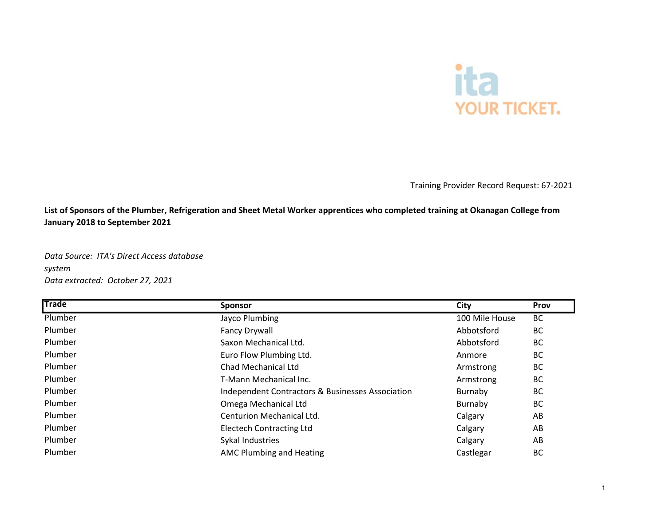

Training Provider Record Request: 67-2021

**List of Sponsors of the Plumber, Refrigeration and Sheet Metal Worker apprentices who completed training at Okanagan College from January 2018 to September 2021**

*Data Source: ITA's Direct Access database system Data extracted: October 27, 2021*

| <b>Trade</b> | <b>Sponsor</b>                                   | City           | <b>Prov</b> |
|--------------|--------------------------------------------------|----------------|-------------|
| Plumber      | Jayco Plumbing                                   | 100 Mile House | <b>BC</b>   |
| Plumber      | <b>Fancy Drywall</b>                             | Abbotsford     | BC          |
| Plumber      | Saxon Mechanical Ltd.                            | Abbotsford     | BC          |
| Plumber      | Euro Flow Plumbing Ltd.                          | Anmore         | BC          |
| Plumber      | <b>Chad Mechanical Ltd</b>                       | Armstrong      | BC          |
| Plumber      | T-Mann Mechanical Inc.                           | Armstrong      | BC          |
| Plumber      | Independent Contractors & Businesses Association | Burnaby        | BC          |
| Plumber      | Omega Mechanical Ltd                             | Burnaby        | BC          |
| Plumber      | Centurion Mechanical Ltd.                        | Calgary        | AB          |
| Plumber      | <b>Electech Contracting Ltd</b>                  | Calgary        | AB          |
| Plumber      | Sykal Industries                                 | Calgary        | AB          |
| Plumber      | AMC Plumbing and Heating                         | Castlegar      | BC          |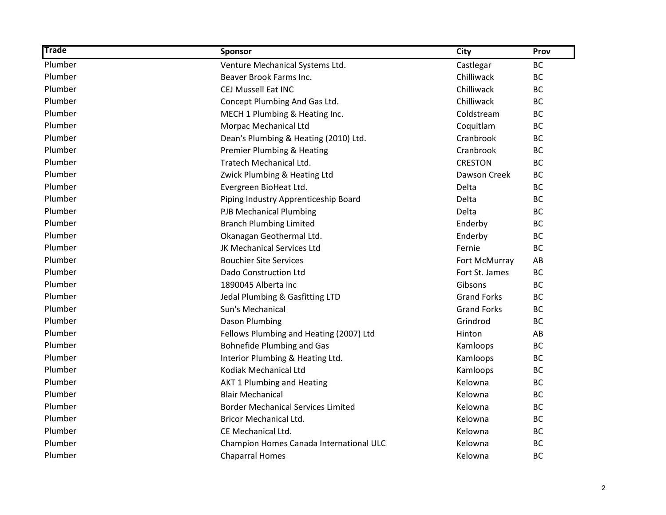| <b>Trade</b> | Sponsor                                   | City               | Prov      |
|--------------|-------------------------------------------|--------------------|-----------|
| Plumber      | Venture Mechanical Systems Ltd.           | Castlegar          | <b>BC</b> |
| Plumber      | Beaver Brook Farms Inc.                   | Chilliwack         | <b>BC</b> |
| Plumber      | <b>CEJ Mussell Eat INC</b>                | Chilliwack         | <b>BC</b> |
| Plumber      | Concept Plumbing And Gas Ltd.             | Chilliwack         | <b>BC</b> |
| Plumber      | MECH 1 Plumbing & Heating Inc.            | Coldstream         | <b>BC</b> |
| Plumber      | Morpac Mechanical Ltd                     | Coquitlam          | <b>BC</b> |
| Plumber      | Dean's Plumbing & Heating (2010) Ltd.     | Cranbrook          | <b>BC</b> |
| Plumber      | Premier Plumbing & Heating                | Cranbrook          | <b>BC</b> |
| Plumber      | Tratech Mechanical Ltd.                   | <b>CRESTON</b>     | <b>BC</b> |
| Plumber      | Zwick Plumbing & Heating Ltd              | Dawson Creek       | <b>BC</b> |
| Plumber      | Evergreen BioHeat Ltd.                    | Delta              | <b>BC</b> |
| Plumber      | Piping Industry Apprenticeship Board      | Delta              | <b>BC</b> |
| Plumber      | <b>PJB Mechanical Plumbing</b>            | Delta              | <b>BC</b> |
| Plumber      | <b>Branch Plumbing Limited</b>            | Enderby            | <b>BC</b> |
| Plumber      | Okanagan Geothermal Ltd.                  | Enderby            | <b>BC</b> |
| Plumber      | JK Mechanical Services Ltd                | Fernie             | <b>BC</b> |
| Plumber      | <b>Bouchier Site Services</b>             | Fort McMurray      | AB        |
| Plumber      | Dado Construction Ltd                     | Fort St. James     | <b>BC</b> |
| Plumber      | 1890045 Alberta inc                       | Gibsons            | <b>BC</b> |
| Plumber      | Jedal Plumbing & Gasfitting LTD           | <b>Grand Forks</b> | <b>BC</b> |
| Plumber      | Sun's Mechanical                          | <b>Grand Forks</b> | <b>BC</b> |
| Plumber      | Dason Plumbing                            | Grindrod           | <b>BC</b> |
| Plumber      | Fellows Plumbing and Heating (2007) Ltd   | Hinton             | AB        |
| Plumber      | <b>Bohnefide Plumbing and Gas</b>         | Kamloops           | <b>BC</b> |
| Plumber      | Interior Plumbing & Heating Ltd.          | Kamloops           | <b>BC</b> |
| Plumber      | Kodiak Mechanical Ltd                     | Kamloops           | <b>BC</b> |
| Plumber      | <b>AKT 1 Plumbing and Heating</b>         | Kelowna            | <b>BC</b> |
| Plumber      | <b>Blair Mechanical</b>                   | Kelowna            | <b>BC</b> |
| Plumber      | <b>Border Mechanical Services Limited</b> | Kelowna            | <b>BC</b> |
| Plumber      | <b>Bricor Mechanical Ltd.</b>             | Kelowna            | <b>BC</b> |
| Plumber      | CE Mechanical Ltd.                        | Kelowna            | <b>BC</b> |
| Plumber      | Champion Homes Canada International ULC   | Kelowna            | <b>BC</b> |
| Plumber      | <b>Chaparral Homes</b>                    | Kelowna            | <b>BC</b> |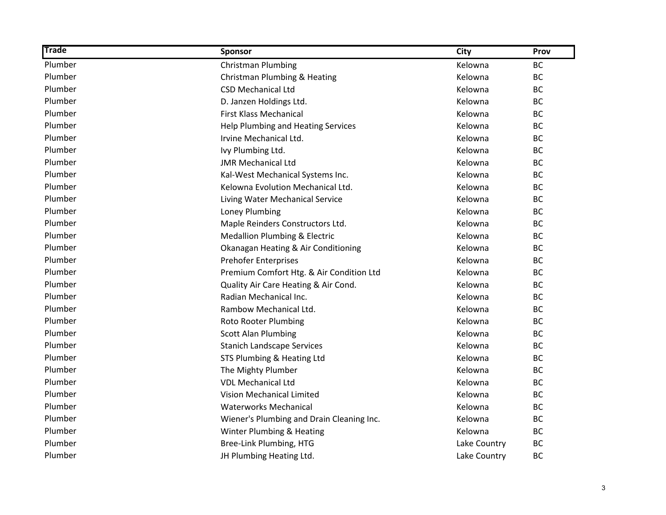| <b>Trade</b> | <b>Sponsor</b>                            | City         | Prov      |
|--------------|-------------------------------------------|--------------|-----------|
| Plumber      | Christman Plumbing                        | Kelowna      | <b>BC</b> |
| Plumber      | Christman Plumbing & Heating              | Kelowna      | <b>BC</b> |
| Plumber      | <b>CSD Mechanical Ltd</b>                 | Kelowna      | <b>BC</b> |
| Plumber      | D. Janzen Holdings Ltd.                   | Kelowna      | <b>BC</b> |
| Plumber      | <b>First Klass Mechanical</b>             | Kelowna      | <b>BC</b> |
| Plumber      | Help Plumbing and Heating Services        | Kelowna      | <b>BC</b> |
| Plumber      | Irvine Mechanical Ltd.                    | Kelowna      | <b>BC</b> |
| Plumber      | Ivy Plumbing Ltd.                         | Kelowna      | <b>BC</b> |
| Plumber      | <b>JMR Mechanical Ltd</b>                 | Kelowna      | <b>BC</b> |
| Plumber      | Kal-West Mechanical Systems Inc.          | Kelowna      | <b>BC</b> |
| Plumber      | Kelowna Evolution Mechanical Ltd.         | Kelowna      | <b>BC</b> |
| Plumber      | Living Water Mechanical Service           | Kelowna      | <b>BC</b> |
| Plumber      | Loney Plumbing                            | Kelowna      | <b>BC</b> |
| Plumber      | Maple Reinders Constructors Ltd.          | Kelowna      | <b>BC</b> |
| Plumber      | <b>Medallion Plumbing &amp; Electric</b>  | Kelowna      | <b>BC</b> |
| Plumber      | Okanagan Heating & Air Conditioning       | Kelowna      | <b>BC</b> |
| Plumber      | <b>Prehofer Enterprises</b>               | Kelowna      | <b>BC</b> |
| Plumber      | Premium Comfort Htg. & Air Condition Ltd  | Kelowna      | <b>BC</b> |
| Plumber      | Quality Air Care Heating & Air Cond.      | Kelowna      | <b>BC</b> |
| Plumber      | Radian Mechanical Inc.                    | Kelowna      | <b>BC</b> |
| Plumber      | Rambow Mechanical Ltd.                    | Kelowna      | <b>BC</b> |
| Plumber      | <b>Roto Rooter Plumbing</b>               | Kelowna      | <b>BC</b> |
| Plumber      | <b>Scott Alan Plumbing</b>                | Kelowna      | <b>BC</b> |
| Plumber      | <b>Stanich Landscape Services</b>         | Kelowna      | <b>BC</b> |
| Plumber      | STS Plumbing & Heating Ltd                | Kelowna      | <b>BC</b> |
| Plumber      | The Mighty Plumber                        | Kelowna      | <b>BC</b> |
| Plumber      | <b>VDL Mechanical Ltd</b>                 | Kelowna      | <b>BC</b> |
| Plumber      | <b>Vision Mechanical Limited</b>          | Kelowna      | <b>BC</b> |
| Plumber      | <b>Waterworks Mechanical</b>              | Kelowna      | <b>BC</b> |
| Plumber      | Wiener's Plumbing and Drain Cleaning Inc. | Kelowna      | <b>BC</b> |
| Plumber      | Winter Plumbing & Heating                 | Kelowna      | <b>BC</b> |
| Plumber      | Bree-Link Plumbing, HTG                   | Lake Country | BC        |
| Plumber      | JH Plumbing Heating Ltd.                  | Lake Country | <b>BC</b> |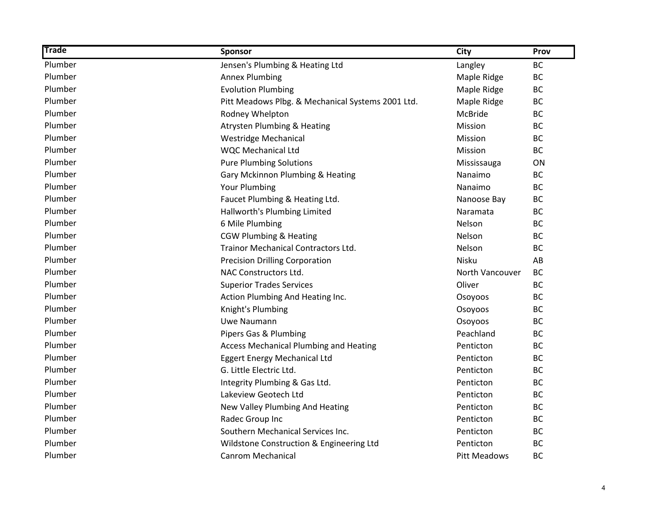| <b>Trade</b> | <b>Sponsor</b>                                    | City                | Prov      |
|--------------|---------------------------------------------------|---------------------|-----------|
| Plumber      | Jensen's Plumbing & Heating Ltd                   | Langley             | BC        |
| Plumber      | <b>Annex Plumbing</b>                             | Maple Ridge         | <b>BC</b> |
| Plumber      | <b>Evolution Plumbing</b>                         | Maple Ridge         | <b>BC</b> |
| Plumber      | Pitt Meadows Plbg. & Mechanical Systems 2001 Ltd. | Maple Ridge         | <b>BC</b> |
| Plumber      | Rodney Whelpton                                   | McBride             | <b>BC</b> |
| Plumber      | <b>Atrysten Plumbing &amp; Heating</b>            | Mission             | <b>BC</b> |
| Plumber      | <b>Westridge Mechanical</b>                       | Mission             | <b>BC</b> |
| Plumber      | <b>WQC Mechanical Ltd</b>                         | Mission             | <b>BC</b> |
| Plumber      | <b>Pure Plumbing Solutions</b>                    | Mississauga         | ON        |
| Plumber      | Gary Mckinnon Plumbing & Heating                  | Nanaimo             | <b>BC</b> |
| Plumber      | Your Plumbing                                     | Nanaimo             | <b>BC</b> |
| Plumber      | Faucet Plumbing & Heating Ltd.                    | Nanoose Bay         | <b>BC</b> |
| Plumber      | Hallworth's Plumbing Limited                      | Naramata            | <b>BC</b> |
| Plumber      | 6 Mile Plumbing                                   | Nelson              | <b>BC</b> |
| Plumber      | <b>CGW Plumbing &amp; Heating</b>                 | Nelson              | <b>BC</b> |
| Plumber      | Trainor Mechanical Contractors Ltd.               | Nelson              | <b>BC</b> |
| Plumber      | <b>Precision Drilling Corporation</b>             | <b>Nisku</b>        | AB        |
| Plumber      | NAC Constructors Ltd.                             | North Vancouver     | <b>BC</b> |
| Plumber      | <b>Superior Trades Services</b>                   | Oliver              | <b>BC</b> |
| Plumber      | Action Plumbing And Heating Inc.                  | Osoyoos             | <b>BC</b> |
| Plumber      | Knight's Plumbing                                 | Osoyoos             | <b>BC</b> |
| Plumber      | Uwe Naumann                                       | Osoyoos             | <b>BC</b> |
| Plumber      | Pipers Gas & Plumbing                             | Peachland           | <b>BC</b> |
| Plumber      | <b>Access Mechanical Plumbing and Heating</b>     | Penticton           | <b>BC</b> |
| Plumber      | <b>Eggert Energy Mechanical Ltd</b>               | Penticton           | <b>BC</b> |
| Plumber      | G. Little Electric Ltd.                           | Penticton           | <b>BC</b> |
| Plumber      | Integrity Plumbing & Gas Ltd.                     | Penticton           | <b>BC</b> |
| Plumber      | Lakeview Geotech Ltd                              | Penticton           | <b>BC</b> |
| Plumber      | New Valley Plumbing And Heating                   | Penticton           | <b>BC</b> |
| Plumber      | Radec Group Inc                                   | Penticton           | <b>BC</b> |
| Plumber      | Southern Mechanical Services Inc.                 | Penticton           | <b>BC</b> |
| Plumber      | Wildstone Construction & Engineering Ltd          | Penticton           | <b>BC</b> |
| Plumber      | Canrom Mechanical                                 | <b>Pitt Meadows</b> | <b>BC</b> |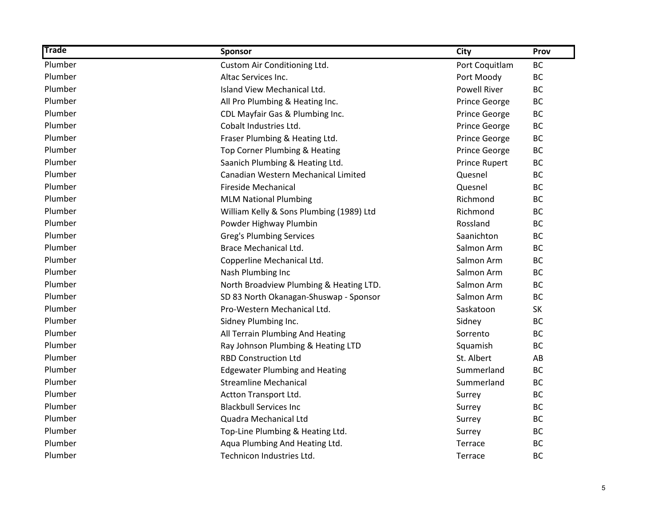| <b>Trade</b> | <b>Sponsor</b>                           | City                | Prov      |
|--------------|------------------------------------------|---------------------|-----------|
| Plumber      | Custom Air Conditioning Ltd.             | Port Coquitlam      | <b>BC</b> |
| Plumber      | Altac Services Inc.                      | Port Moody          | BC        |
| Plumber      | Island View Mechanical Ltd.              | <b>Powell River</b> | <b>BC</b> |
| Plumber      | All Pro Plumbing & Heating Inc.          | Prince George       | <b>BC</b> |
| Plumber      | CDL Mayfair Gas & Plumbing Inc.          | Prince George       | <b>BC</b> |
| Plumber      | Cobalt Industries Ltd.                   | Prince George       | <b>BC</b> |
| Plumber      | Fraser Plumbing & Heating Ltd.           | Prince George       | <b>BC</b> |
| Plumber      | Top Corner Plumbing & Heating            | Prince George       | <b>BC</b> |
| Plumber      | Saanich Plumbing & Heating Ltd.          | Prince Rupert       | <b>BC</b> |
| Plumber      | Canadian Western Mechanical Limited      | Quesnel             | <b>BC</b> |
| Plumber      | <b>Fireside Mechanical</b>               | Quesnel             | <b>BC</b> |
| Plumber      | <b>MLM National Plumbing</b>             | Richmond            | <b>BC</b> |
| Plumber      | William Kelly & Sons Plumbing (1989) Ltd | Richmond            | <b>BC</b> |
| Plumber      | Powder Highway Plumbin                   | Rossland            | <b>BC</b> |
| Plumber      | <b>Greg's Plumbing Services</b>          | Saanichton          | <b>BC</b> |
| Plumber      | <b>Brace Mechanical Ltd.</b>             | Salmon Arm          | <b>BC</b> |
| Plumber      | Copperline Mechanical Ltd.               | Salmon Arm          | <b>BC</b> |
| Plumber      | Nash Plumbing Inc                        | Salmon Arm          | <b>BC</b> |
| Plumber      | North Broadview Plumbing & Heating LTD.  | Salmon Arm          | <b>BC</b> |
| Plumber      | SD 83 North Okanagan-Shuswap - Sponsor   | Salmon Arm          | <b>BC</b> |
| Plumber      | Pro-Western Mechanical Ltd.              | Saskatoon           | <b>SK</b> |
| Plumber      | Sidney Plumbing Inc.                     | Sidney              | <b>BC</b> |
| Plumber      | All Terrain Plumbing And Heating         | Sorrento            | <b>BC</b> |
| Plumber      | Ray Johnson Plumbing & Heating LTD       | Squamish            | <b>BC</b> |
| Plumber      | <b>RBD Construction Ltd</b>              | St. Albert          | AB        |
| Plumber      | <b>Edgewater Plumbing and Heating</b>    | Summerland          | <b>BC</b> |
| Plumber      | <b>Streamline Mechanical</b>             | Summerland          | <b>BC</b> |
| Plumber      | Actton Transport Ltd.                    | Surrey              | <b>BC</b> |
| Plumber      | <b>Blackbull Services Inc</b>            | Surrey              | <b>BC</b> |
| Plumber      | Quadra Mechanical Ltd                    | Surrey              | <b>BC</b> |
| Plumber      | Top-Line Plumbing & Heating Ltd.         | Surrey              | <b>BC</b> |
| Plumber      | Aqua Plumbing And Heating Ltd.           | Terrace             | <b>BC</b> |
| Plumber      | Technicon Industries Ltd.                | Terrace             | <b>BC</b> |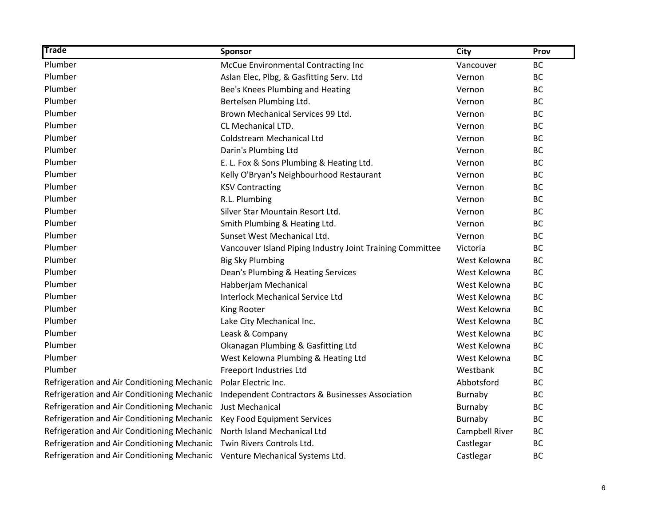| <b>Trade</b>                                                                | Sponsor                                                   | <b>City</b>    | Prov      |
|-----------------------------------------------------------------------------|-----------------------------------------------------------|----------------|-----------|
| Plumber                                                                     | McCue Environmental Contracting Inc                       | Vancouver      | <b>BC</b> |
| Plumber                                                                     | Aslan Elec, Plbg, & Gasfitting Serv. Ltd                  | Vernon         | <b>BC</b> |
| Plumber                                                                     | Bee's Knees Plumbing and Heating                          | Vernon         | <b>BC</b> |
| Plumber                                                                     | Bertelsen Plumbing Ltd.                                   | Vernon         | <b>BC</b> |
| Plumber                                                                     | Brown Mechanical Services 99 Ltd.                         | Vernon         | <b>BC</b> |
| Plumber                                                                     | CL Mechanical LTD.                                        | Vernon         | <b>BC</b> |
| Plumber                                                                     | Coldstream Mechanical Ltd                                 | Vernon         | <b>BC</b> |
| Plumber                                                                     | Darin's Plumbing Ltd                                      | Vernon         | <b>BC</b> |
| Plumber                                                                     | E. L. Fox & Sons Plumbing & Heating Ltd.                  | Vernon         | <b>BC</b> |
| Plumber                                                                     | Kelly O'Bryan's Neighbourhood Restaurant                  | Vernon         | <b>BC</b> |
| Plumber                                                                     | <b>KSV Contracting</b>                                    | Vernon         | <b>BC</b> |
| Plumber                                                                     | R.L. Plumbing                                             | Vernon         | <b>BC</b> |
| Plumber                                                                     | Silver Star Mountain Resort Ltd.                          | Vernon         | ВC        |
| Plumber                                                                     | Smith Plumbing & Heating Ltd.                             | Vernon         | <b>BC</b> |
| Plumber                                                                     | Sunset West Mechanical Ltd.                               | Vernon         | <b>BC</b> |
| Plumber                                                                     | Vancouver Island Piping Industry Joint Training Committee | Victoria       | <b>BC</b> |
| Plumber                                                                     | <b>Big Sky Plumbing</b>                                   | West Kelowna   | <b>BC</b> |
| Plumber                                                                     | Dean's Plumbing & Heating Services                        | West Kelowna   | <b>BC</b> |
| Plumber                                                                     | Habberjam Mechanical                                      | West Kelowna   | <b>BC</b> |
| Plumber                                                                     | <b>Interlock Mechanical Service Ltd</b>                   | West Kelowna   | <b>BC</b> |
| Plumber                                                                     | King Rooter                                               | West Kelowna   | <b>BC</b> |
| Plumber                                                                     | Lake City Mechanical Inc.                                 | West Kelowna   | <b>BC</b> |
| Plumber                                                                     | Leask & Company                                           | West Kelowna   | <b>BC</b> |
| Plumber                                                                     | Okanagan Plumbing & Gasfitting Ltd                        | West Kelowna   | <b>BC</b> |
| Plumber                                                                     | West Kelowna Plumbing & Heating Ltd                       | West Kelowna   | <b>BC</b> |
| Plumber                                                                     | Freeport Industries Ltd                                   | Westbank       | <b>BC</b> |
| Refrigeration and Air Conditioning Mechanic                                 | Polar Electric Inc.                                       | Abbotsford     | <b>BC</b> |
| Refrigeration and Air Conditioning Mechanic                                 | Independent Contractors & Businesses Association          | Burnaby        | <b>BC</b> |
| Refrigeration and Air Conditioning Mechanic                                 | Just Mechanical                                           | Burnaby        | <b>BC</b> |
| Refrigeration and Air Conditioning Mechanic                                 | Key Food Equipment Services                               | Burnaby        | <b>BC</b> |
| Refrigeration and Air Conditioning Mechanic                                 | North Island Mechanical Ltd                               | Campbell River | <b>BC</b> |
| Refrigeration and Air Conditioning Mechanic                                 | Twin Rivers Controls Ltd.                                 | Castlegar      | <b>BC</b> |
| Refrigeration and Air Conditioning Mechanic Venture Mechanical Systems Ltd. |                                                           | Castlegar      | <b>BC</b> |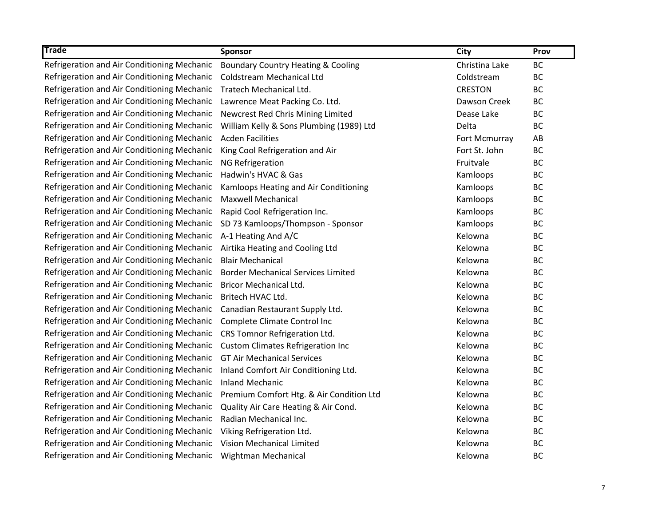| <b>Trade</b>                                | <b>Sponsor</b>                                | City           | Prov      |
|---------------------------------------------|-----------------------------------------------|----------------|-----------|
| Refrigeration and Air Conditioning Mechanic | <b>Boundary Country Heating &amp; Cooling</b> | Christina Lake | <b>BC</b> |
| Refrigeration and Air Conditioning Mechanic | Coldstream Mechanical Ltd                     | Coldstream     | <b>BC</b> |
| Refrigeration and Air Conditioning Mechanic | Tratech Mechanical Ltd.                       | <b>CRESTON</b> | <b>BC</b> |
| Refrigeration and Air Conditioning Mechanic | Lawrence Meat Packing Co. Ltd.                | Dawson Creek   | <b>BC</b> |
| Refrigeration and Air Conditioning Mechanic | Newcrest Red Chris Mining Limited             | Dease Lake     | <b>BC</b> |
| Refrigeration and Air Conditioning Mechanic | William Kelly & Sons Plumbing (1989) Ltd      | Delta          | <b>BC</b> |
| Refrigeration and Air Conditioning Mechanic | <b>Acden Facilities</b>                       | Fort Mcmurray  | AB        |
| Refrigeration and Air Conditioning Mechanic | King Cool Refrigeration and Air               | Fort St. John  | <b>BC</b> |
| Refrigeration and Air Conditioning Mechanic | <b>NG Refrigeration</b>                       | Fruitvale      | <b>BC</b> |
| Refrigeration and Air Conditioning Mechanic | Hadwin's HVAC & Gas                           | Kamloops       | <b>BC</b> |
| Refrigeration and Air Conditioning Mechanic | Kamloops Heating and Air Conditioning         | Kamloops       | <b>BC</b> |
| Refrigeration and Air Conditioning Mechanic | <b>Maxwell Mechanical</b>                     | Kamloops       | <b>BC</b> |
| Refrigeration and Air Conditioning Mechanic | Rapid Cool Refrigeration Inc.                 | Kamloops       | <b>BC</b> |
| Refrigeration and Air Conditioning Mechanic | SD 73 Kamloops/Thompson - Sponsor             | Kamloops       | <b>BC</b> |
| Refrigeration and Air Conditioning Mechanic | A-1 Heating And A/C                           | Kelowna        | <b>BC</b> |
| Refrigeration and Air Conditioning Mechanic | Airtika Heating and Cooling Ltd               | Kelowna        | <b>BC</b> |
| Refrigeration and Air Conditioning Mechanic | <b>Blair Mechanical</b>                       | Kelowna        | <b>BC</b> |
| Refrigeration and Air Conditioning Mechanic | <b>Border Mechanical Services Limited</b>     | Kelowna        | <b>BC</b> |
| Refrigeration and Air Conditioning Mechanic | <b>Bricor Mechanical Ltd.</b>                 | Kelowna        | <b>BC</b> |
| Refrigeration and Air Conditioning Mechanic | Britech HVAC Ltd.                             | Kelowna        | <b>BC</b> |
| Refrigeration and Air Conditioning Mechanic | Canadian Restaurant Supply Ltd.               | Kelowna        | <b>BC</b> |
| Refrigeration and Air Conditioning Mechanic | Complete Climate Control Inc                  | Kelowna        | <b>BC</b> |
| Refrigeration and Air Conditioning Mechanic | CRS Tomnor Refrigeration Ltd.                 | Kelowna        | <b>BC</b> |
| Refrigeration and Air Conditioning Mechanic | <b>Custom Climates Refrigeration Inc</b>      | Kelowna        | <b>BC</b> |
| Refrigeration and Air Conditioning Mechanic | <b>GT Air Mechanical Services</b>             | Kelowna        | <b>BC</b> |
| Refrigeration and Air Conditioning Mechanic | Inland Comfort Air Conditioning Ltd.          | Kelowna        | BC        |
| Refrigeration and Air Conditioning Mechanic | <b>Inland Mechanic</b>                        | Kelowna        | <b>BC</b> |
| Refrigeration and Air Conditioning Mechanic | Premium Comfort Htg. & Air Condition Ltd      | Kelowna        | <b>BC</b> |
| Refrigeration and Air Conditioning Mechanic | Quality Air Care Heating & Air Cond.          | Kelowna        | BC        |
| Refrigeration and Air Conditioning Mechanic | Radian Mechanical Inc.                        | Kelowna        | <b>BC</b> |
| Refrigeration and Air Conditioning Mechanic | Viking Refrigeration Ltd.                     | Kelowna        | <b>BC</b> |
| Refrigeration and Air Conditioning Mechanic | Vision Mechanical Limited                     | Kelowna        | <b>BC</b> |
| Refrigeration and Air Conditioning Mechanic | Wightman Mechanical                           | Kelowna        | <b>BC</b> |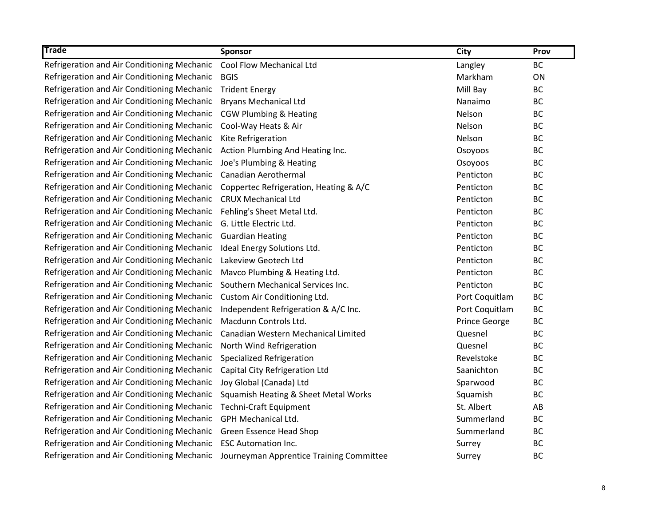| <b>Trade</b>                                | <b>Sponsor</b>                           | City           | Prov      |
|---------------------------------------------|------------------------------------------|----------------|-----------|
| Refrigeration and Air Conditioning Mechanic | Cool Flow Mechanical Ltd                 | Langley        | BC        |
| Refrigeration and Air Conditioning Mechanic | <b>BGIS</b>                              | Markham        | ON        |
| Refrigeration and Air Conditioning Mechanic | <b>Trident Energy</b>                    | Mill Bay       | <b>BC</b> |
| Refrigeration and Air Conditioning Mechanic | <b>Bryans Mechanical Ltd</b>             | Nanaimo        | <b>BC</b> |
| Refrigeration and Air Conditioning Mechanic | <b>CGW Plumbing &amp; Heating</b>        | Nelson         | <b>BC</b> |
| Refrigeration and Air Conditioning Mechanic | Cool-Way Heats & Air                     | Nelson         | <b>BC</b> |
| Refrigeration and Air Conditioning Mechanic | Kite Refrigeration                       | Nelson         | <b>BC</b> |
| Refrigeration and Air Conditioning Mechanic | Action Plumbing And Heating Inc.         | Osoyoos        | <b>BC</b> |
| Refrigeration and Air Conditioning Mechanic | Joe's Plumbing & Heating                 | Osoyoos        | <b>BC</b> |
| Refrigeration and Air Conditioning Mechanic | Canadian Aerothermal                     | Penticton      | <b>BC</b> |
| Refrigeration and Air Conditioning Mechanic | Coppertec Refrigeration, Heating & A/C   | Penticton      | <b>BC</b> |
| Refrigeration and Air Conditioning Mechanic | <b>CRUX Mechanical Ltd</b>               | Penticton      | <b>BC</b> |
| Refrigeration and Air Conditioning Mechanic | Fehling's Sheet Metal Ltd.               | Penticton      | <b>BC</b> |
| Refrigeration and Air Conditioning Mechanic | G. Little Electric Ltd.                  | Penticton      | <b>BC</b> |
| Refrigeration and Air Conditioning Mechanic | <b>Guardian Heating</b>                  | Penticton      | <b>BC</b> |
| Refrigeration and Air Conditioning Mechanic | Ideal Energy Solutions Ltd.              | Penticton      | <b>BC</b> |
| Refrigeration and Air Conditioning Mechanic | Lakeview Geotech Ltd                     | Penticton      | <b>BC</b> |
| Refrigeration and Air Conditioning Mechanic | Mavco Plumbing & Heating Ltd.            | Penticton      | BC        |
| Refrigeration and Air Conditioning Mechanic | Southern Mechanical Services Inc.        | Penticton      | <b>BC</b> |
| Refrigeration and Air Conditioning Mechanic | Custom Air Conditioning Ltd.             | Port Coquitlam | <b>BC</b> |
| Refrigeration and Air Conditioning Mechanic | Independent Refrigeration & A/C Inc.     | Port Coquitlam | <b>BC</b> |
| Refrigeration and Air Conditioning Mechanic | Macdunn Controls Ltd.                    | Prince George  | BC        |
| Refrigeration and Air Conditioning Mechanic | Canadian Western Mechanical Limited      | Quesnel        | <b>BC</b> |
| Refrigeration and Air Conditioning Mechanic | North Wind Refrigeration                 | Quesnel        | <b>BC</b> |
| Refrigeration and Air Conditioning Mechanic | <b>Specialized Refrigeration</b>         | Revelstoke     | <b>BC</b> |
| Refrigeration and Air Conditioning Mechanic | Capital City Refrigeration Ltd           | Saanichton     | <b>BC</b> |
| Refrigeration and Air Conditioning Mechanic | Joy Global (Canada) Ltd                  | Sparwood       | <b>BC</b> |
| Refrigeration and Air Conditioning Mechanic | Squamish Heating & Sheet Metal Works     | Squamish       | <b>BC</b> |
| Refrigeration and Air Conditioning Mechanic | Techni-Craft Equipment                   | St. Albert     | AB        |
| Refrigeration and Air Conditioning Mechanic | GPH Mechanical Ltd.                      | Summerland     | <b>BC</b> |
| Refrigeration and Air Conditioning Mechanic | Green Essence Head Shop                  | Summerland     | <b>BC</b> |
| Refrigeration and Air Conditioning Mechanic | <b>ESC Automation Inc.</b>               | Surrey         | <b>BC</b> |
| Refrigeration and Air Conditioning Mechanic | Journeyman Apprentice Training Committee | Surrey         | <b>BC</b> |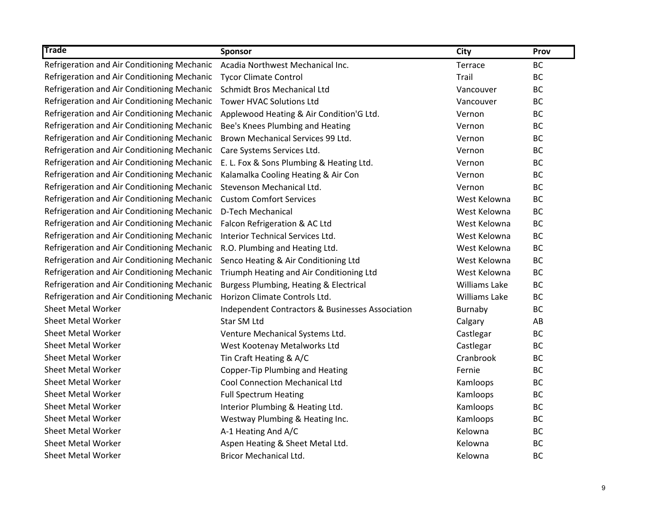| <b>Trade</b>                                | <b>Sponsor</b>                                   | <b>City</b>          | Prov      |
|---------------------------------------------|--------------------------------------------------|----------------------|-----------|
| Refrigeration and Air Conditioning Mechanic | Acadia Northwest Mechanical Inc.                 | Terrace              | <b>BC</b> |
| Refrigeration and Air Conditioning Mechanic | <b>Tycor Climate Control</b>                     | Trail                | <b>BC</b> |
| Refrigeration and Air Conditioning Mechanic | Schmidt Bros Mechanical Ltd                      | Vancouver            | <b>BC</b> |
| Refrigeration and Air Conditioning Mechanic | <b>Tower HVAC Solutions Ltd</b>                  | Vancouver            | <b>BC</b> |
| Refrigeration and Air Conditioning Mechanic | Applewood Heating & Air Condition'G Ltd.         | Vernon               | <b>BC</b> |
| Refrigeration and Air Conditioning Mechanic | Bee's Knees Plumbing and Heating                 | Vernon               | <b>BC</b> |
| Refrigeration and Air Conditioning Mechanic | Brown Mechanical Services 99 Ltd.                | Vernon               | <b>BC</b> |
| Refrigeration and Air Conditioning Mechanic | Care Systems Services Ltd.                       | Vernon               | <b>BC</b> |
| Refrigeration and Air Conditioning Mechanic | E. L. Fox & Sons Plumbing & Heating Ltd.         | Vernon               | <b>BC</b> |
| Refrigeration and Air Conditioning Mechanic | Kalamalka Cooling Heating & Air Con              | Vernon               | <b>BC</b> |
| Refrigeration and Air Conditioning Mechanic | Stevenson Mechanical Ltd.                        | Vernon               | <b>BC</b> |
| Refrigeration and Air Conditioning Mechanic | <b>Custom Comfort Services</b>                   | West Kelowna         | <b>BC</b> |
| Refrigeration and Air Conditioning Mechanic | D-Tech Mechanical                                | West Kelowna         | <b>BC</b> |
| Refrigeration and Air Conditioning Mechanic | Falcon Refrigeration & AC Ltd                    | West Kelowna         | <b>BC</b> |
| Refrigeration and Air Conditioning Mechanic | Interior Technical Services Ltd.                 | West Kelowna         | <b>BC</b> |
| Refrigeration and Air Conditioning Mechanic | R.O. Plumbing and Heating Ltd.                   | West Kelowna         | <b>BC</b> |
| Refrigeration and Air Conditioning Mechanic | Senco Heating & Air Conditioning Ltd             | West Kelowna         | <b>BC</b> |
| Refrigeration and Air Conditioning Mechanic | Triumph Heating and Air Conditioning Ltd         | West Kelowna         | <b>BC</b> |
| Refrigeration and Air Conditioning Mechanic | Burgess Plumbing, Heating & Electrical           | <b>Williams Lake</b> | <b>BC</b> |
| Refrigeration and Air Conditioning Mechanic | Horizon Climate Controls Ltd.                    | <b>Williams Lake</b> | <b>BC</b> |
| <b>Sheet Metal Worker</b>                   | Independent Contractors & Businesses Association | Burnaby              | <b>BC</b> |
| <b>Sheet Metal Worker</b>                   | Star SM Ltd                                      | Calgary              | AB        |
| <b>Sheet Metal Worker</b>                   | Venture Mechanical Systems Ltd.                  | Castlegar            | <b>BC</b> |
| <b>Sheet Metal Worker</b>                   | West Kootenay Metalworks Ltd                     | Castlegar            | <b>BC</b> |
| <b>Sheet Metal Worker</b>                   | Tin Craft Heating & A/C                          | Cranbrook            | <b>BC</b> |
| <b>Sheet Metal Worker</b>                   | Copper-Tip Plumbing and Heating                  | Fernie               | <b>BC</b> |
| <b>Sheet Metal Worker</b>                   | <b>Cool Connection Mechanical Ltd</b>            | Kamloops             | <b>BC</b> |
| <b>Sheet Metal Worker</b>                   | <b>Full Spectrum Heating</b>                     | Kamloops             | <b>BC</b> |
| Sheet Metal Worker                          | Interior Plumbing & Heating Ltd.                 | Kamloops             | <b>BC</b> |
| <b>Sheet Metal Worker</b>                   | Westway Plumbing & Heating Inc.                  | Kamloops             | <b>BC</b> |
| <b>Sheet Metal Worker</b>                   | A-1 Heating And A/C                              | Kelowna              | <b>BC</b> |
| <b>Sheet Metal Worker</b>                   | Aspen Heating & Sheet Metal Ltd.                 | Kelowna              | <b>BC</b> |
| <b>Sheet Metal Worker</b>                   | <b>Bricor Mechanical Ltd.</b>                    | Kelowna              | <b>BC</b> |